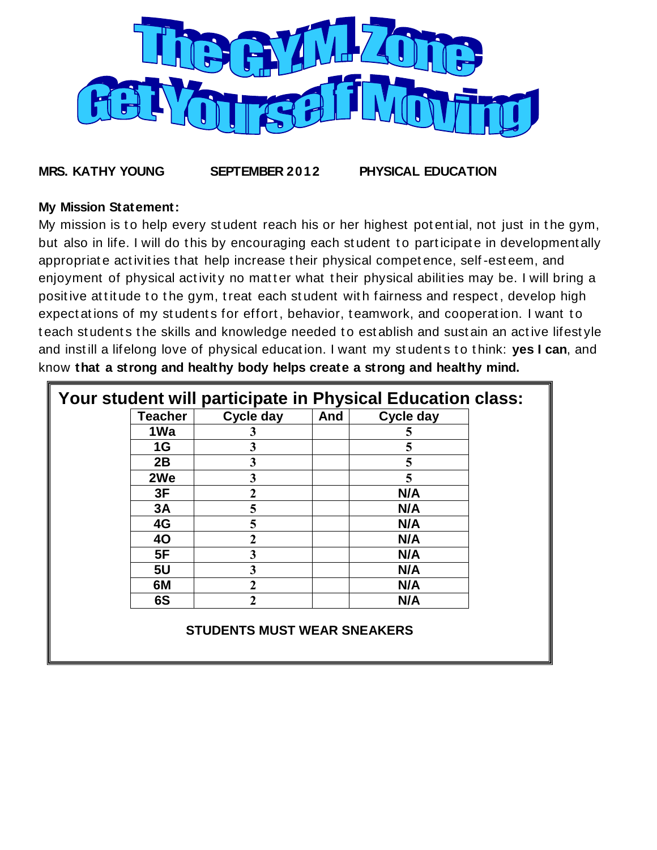

**MRS. KATHY YOUNG SEPTEMBER 2012 PHYSICAL EDUCATION**

#### **My Mission Statement:**

My mission is to help every student reach his or her highest potential, not just in the gym, but also in life. I will do this by encouraging each student to participate in developmentally appropriat e act ivit ies t hat help increase t heir physical compet ence, self -est eem, and enjoyment of physical activity no matter what their physical abilities may be. I will bring a positive at titude to the gym, treat each student with fairness and respect, develop high expect at ions of my students for effort, behavior, teamwork, and cooperation. I want to teach students the skills and knowledge needed to establish and sustain an active lifestyle and instill a lifelong love of physical education. I want my students to think: yes I can, and know **that a strong and healthy body helps create a strong and healthy mind.**

| Your student will participate in Physical Education class: |                 |                  |     |                  |  |
|------------------------------------------------------------|-----------------|------------------|-----|------------------|--|
|                                                            | <b>Teacher</b>  | <b>Cycle day</b> | And | <b>Cycle day</b> |  |
|                                                            | 1 <sub>Wa</sub> |                  |     |                  |  |
|                                                            | 1G              |                  |     |                  |  |
|                                                            | 2B              |                  |     |                  |  |
|                                                            | 2We             |                  |     |                  |  |
|                                                            | 3F              |                  |     | N/A              |  |
|                                                            | 3A              |                  |     | N/A              |  |
|                                                            | 4G              |                  |     | N/A              |  |
|                                                            | <b>40</b>       |                  |     | N/A              |  |
|                                                            | 5F              |                  |     | N/A              |  |
|                                                            | 5 <sub>U</sub>  |                  |     | N/A              |  |
|                                                            | 6M              |                  |     | N/A              |  |
|                                                            | 6S              |                  |     | N/A              |  |
| <b>STUDENTS MUST WEAR SNEAKERS</b>                         |                 |                  |     |                  |  |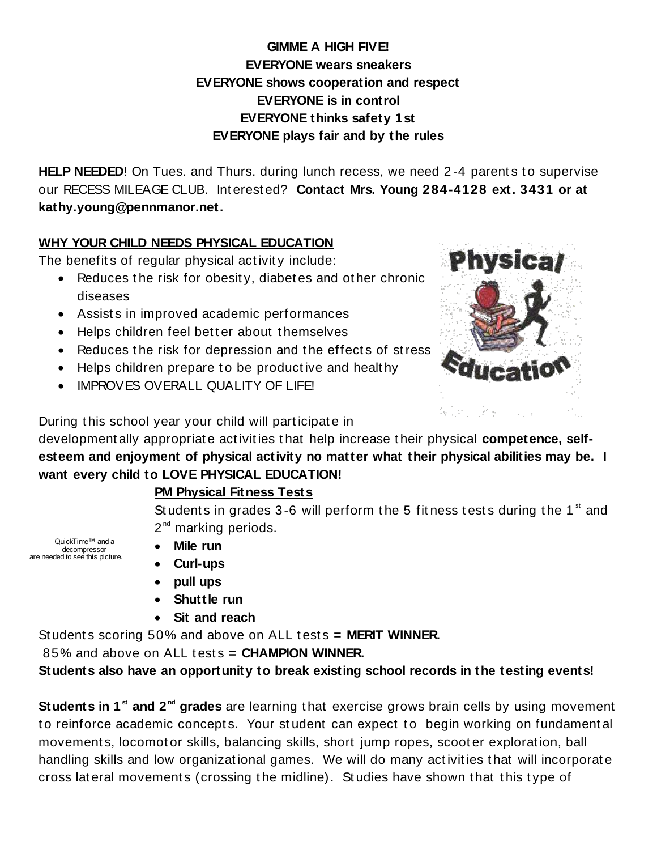# **GIMME A HIGH FIVE! EVERYONE wears sneakers EVERYONE shows cooperation and respect EVERYONE is in control EVERYONE thinks safety 1st EVERYONE plays fair and by the rules**

**HELP NEEDED!** On Tues. and Thurs. during lunch recess, we need 2-4 parents to supervise our RECESS MILEAGE CLUB. Int erest ed? **Contact Mrs. Young 284-4128 ext. 3431 or at kathy.young@pennmanor.net.**

### **WHY YOUR CHILD NEEDS PHYSICAL EDUCATION**

The benefits of regular physical activity include:

- Reduces the risk for obesity, diabetes and other chronic diseases
- Assists in improved academic performances
- $\bullet$  Helps children feel better about themselves
- Reduces the risk for depression and the effects of stress
- Helps children prepare to be productive and healthy
- **IMPROVES OVERALL QUALITY OF LIFE!**



During this school year your child will participate in

development ally appropriat e act ivit ies t hat help increase t heir physical **competence, selfesteem and enjoyment of physical activity no matter what their physical abilities may be. I want every child to LOVE PHYSICAL EDUCATION!**

## **PM Physical Fitness Tests**

Students in grades 3-6 will perform the 5 fitness tests during the 1 $\mathrm{^{st}}$  and 2<sup>nd</sup> marking periods.

QuickTime™ and a decompressor are needed to see this picture.

- **Mile run**
- **Curl-ups**
- **pull ups**
- **Shuttle run**
- **Sit and reach**

St udents scoring 50% and above on ALL tests = MERIT WINNER.

85% and above on ALL t est s **= CHAMPION WINNER.**

**Students also have an opportunity to break existing school records in the testing events!**

Students in 1<sup>st</sup> and 2<sup>nd</sup> grades are learning that exercise grows brain cells by using movement to reinforce academic concepts. Your student can expect to begin working on fundamental movement s, locomot or skills, balancing skills, short jump ropes, scoot er explorat ion, ball handling skills and low organizat ional games. We will do many act ivit ies t hat will incorporat e cross lat eral movement s (crossing t he midline). St udies have shown t hat t his t ype of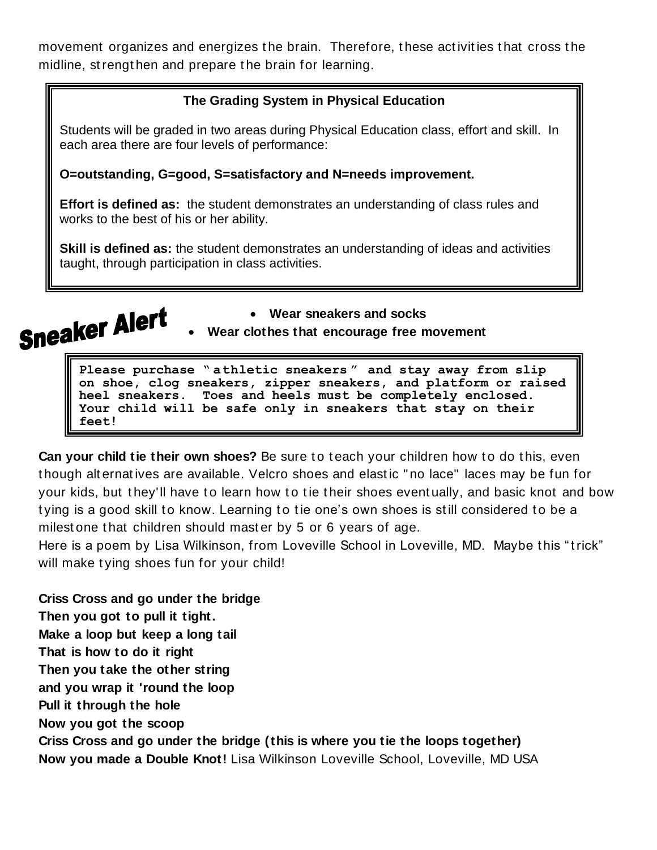movement organizes and energizes the brain. Therefore, these activities that cross the midline, st rengt hen and prepare t he brain for learning.

### **The Grading System in Physical Education**

Students will be graded in two areas during Physical Education class, effort and skill. In each area there are four levels of performance:

#### **O=outstanding, G=good, S=satisfactory and N=needs improvement.**

**Effort is defined as:** the student demonstrates an understanding of class rules and works to the best of his or her ability.

**Skill is defined as:** the student demonstrates an understanding of ideas and activities taught, through participation in class activities.



**Wear sneakers and socks**

**Wear clothes that encourage free movement**

**Please purchase " athletic sneakers " and stay away from slip on shoe, clog sneakers, zipper sneakers, and platform or raised heel sneakers. Toes and heels must be completely enclosed. Your child will be safe only in sneakers that stay on their feet!**

**Can your child tie their own shoes?** Be sure to teach your children how to do this, even t hough alt ernat ives are available. Velcro shoes and elast ic " no lace" laces may be fun for your kids, but they'll have to learn how to tie their shoes eventually, and basic knot and bow tying is a good skill to know. Learning to tie one's own shoes is still considered to be a milest one that children should master by 5 or 6 years of age.

Here is a poem by Lisa Wilkinson, from Loveville School in Loveville, MD. Maybe this "trick" will make tying shoes fun for your child!

**Criss Cross and go under the bridge Then you got to pull it tight. Make a loop but keep a long tail That is how to do it right Then you take the other string and you wrap it 'round the loop Pull it through the hole Now you got the scoop Criss Cross and go under the bridge (this is where you tie the loops together) Now you made a Double Knot!** Lisa Wilkinson Loveville School, Loveville, MD USA